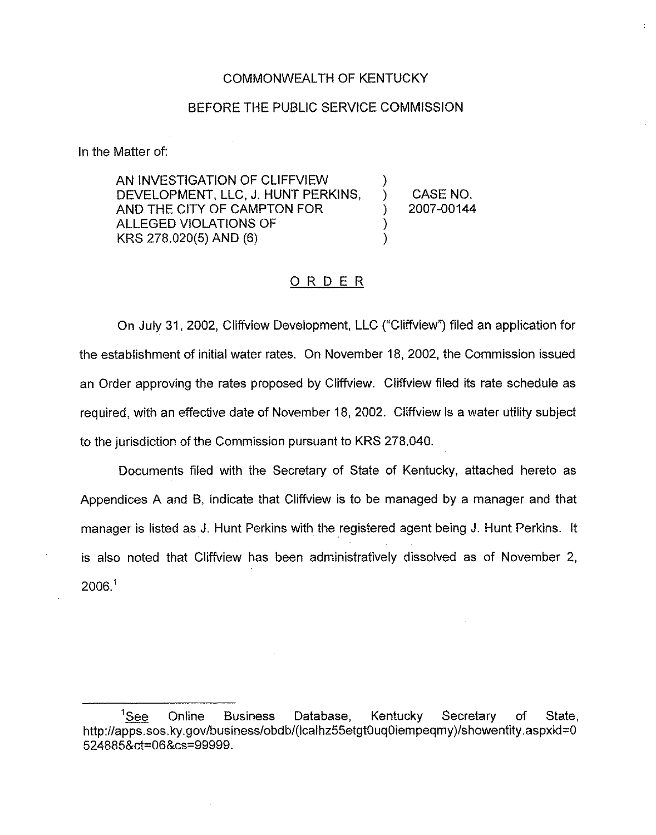#### COMMONWEALTH OF KENTUCKY

#### BEFORE THE PUBLIC SERVICE COMMISSION

In the Matter of:

AN INVESTIGATION OF CLIFFVIEW DEVELOPMENT, LLC, J. HUNT PERKINS, AND THE CITY OF CAMPTON FOR ALLEGED VIOLATIONS OF KRS 278.020(5) AND (6)

) CASE NO. ) 2007-00144

)

) )

#### ORDER

On July 31, 2002, Cliffview Development, LLC ("Cliffview") filed an application for the establishment of initial water rates. On November 18, 2002, the Commission issued an Order approving the rates proposed by Cliffview. Cliffview filed its rate schedule as required, with an effective date of November 18, 2002. Cliffview is a water utility subject to the jurisdiction of the Commission pursuant to KRS 278.040.

Documents filed with the Secretary of State of Kentucky, attached hereto as Appendices A and B, indicate that Cliffview is to be managed by a manager and that manager is listed as J. Hunt Perkins with the registered agent being J. Hunt Perkins. It is also noted that Cliffview has been administratively dissolved as of November 2, 2006."

<sup>&</sup>lt;sup>1</sup>See Online Business Database, Kentucky Secretary of State http: //apps.sos.ky.gov/business/obdb/(Icalhz55etgt0uq0iempeqmy)/showentity.aspxid=0 524885&ct=06&cs=99999.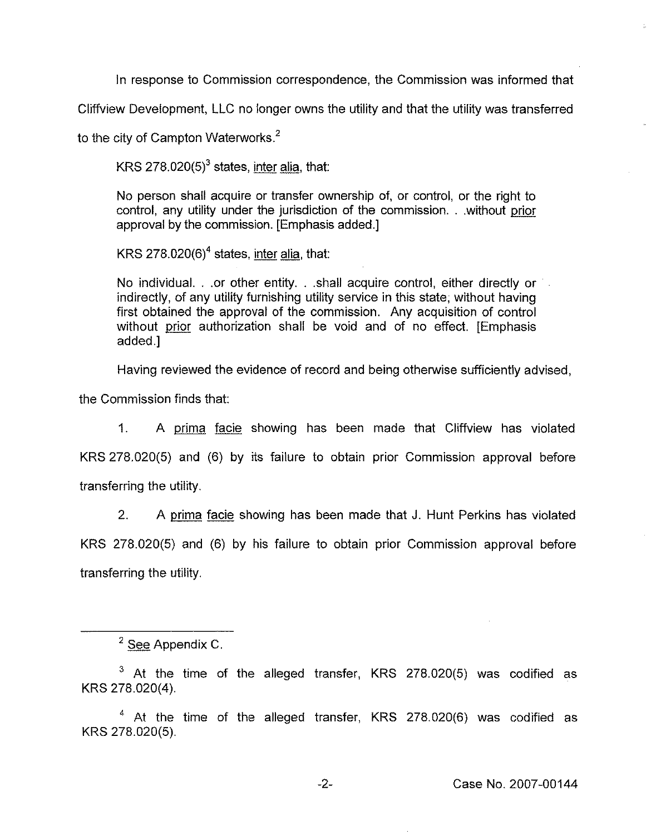ln response to Commission correspondence, the Commission was informed that

Cliffview Development, LLC no longer owns the utility and that the utiiity was transferred

to the city of Campton Waterworks. $<sup>2</sup>$ </sup>

KRS  $278.020(5)^3$  states, inter alia, that:

No person shall acquire or transfer ownership of, or control, or the right to control, any utility under the jurisdiction of the commission...without prior approval by the commission. [Emphasis added.]

KRS 278.020(6)<sup>4</sup> states, inter alia, that:

No individual. . .or other entity. . .shall acquire control, either directly or indirectly, of any utility furnishing utility service in this state, without having first obtained the approval of the commission. Any acquisition of control without prior authorization shall be void and of no effect. [Emphasis added.]

Having reviewed the evidence of record and being otherwise sufficiently advised,

the Commission finds that:

1. A prima facie showing has been made that Cliffview has violated KRS 278.020(5) and (6) by its failure to obtain prior Commission approval before transferring the utility.

2. <sup>A</sup> prima facie showing has been made that J. Hunt Perkins has violated KRS 278.020(5) and (6) by his failure to obtain prior Commission approval before transferring the utility.

 $-2-$ 

 $\frac{2 \text{ See } A$ ppendix C.<br><sup>3</sup> At the time of the alleged transfer, KRS 278.020(5) was codified as KRS 278.020(4),

 $4$  At the time of the alleged transfer, KRS 278.020(6) was codified as KRS 278.020(5).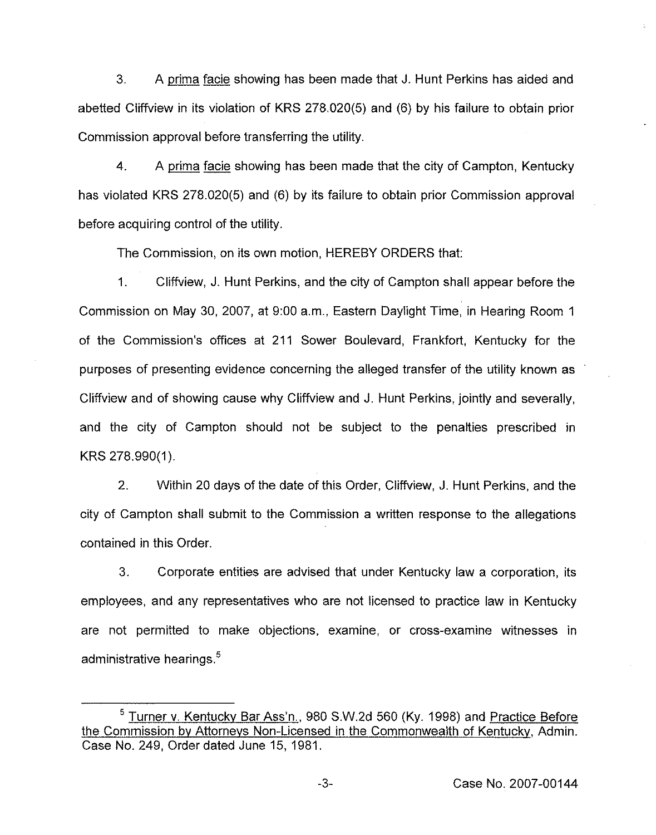3. <sup>A</sup> prima facie showing has been made that J. Hunt Perkins has aided and abetted Cliffview in its violation of KRS 278,020(5) and (6) by his failure to obtain prior Commission approval before transferring the utility.

4. A prima facie showing has been made that the city of Campton, Kentucky has violated KRS 278.020(5) and (6) by its failure to obtain prior Commission approval before acquiring control of the utility.

The Commission, on its own motion, HEREBY ORDERS that:

1. Cliffview, J. Hunt Perkins, and the city of Campton shall appear before the Commission on May 30, 2007, at 9:00 a.m., Eastern Dayiight Time, in Hearing Room <sup>1</sup> of the Commission's offices at 211 Sower Boulevard, Frankfort, Kentucky for the purposes of presenting evidence concerning the alleged transfer of the utility known as Cliffview and of showing cause why Cliffview and J. Hunt Perkins, jointly and severally, and the city of Campton should not be subject to the penalties prescribed in KRS 278.990(1).

2. Within 20 days of the date of this Order, Cliffview, J. Hunt Perkins, and the city of Campton shall submit to the Commission a written response to the allegations contained in this Order.

3. Corporate entities are advised that under Kentucky law a corporation, its employees, and any representatives who are not licensed to practice law in Kentucky are not permitted to make objections, examine, or cross-examine witnesses in administrative hearings.<sup>5</sup>

<sup>&</sup>lt;sup>5</sup> Turner v. Kentucky Bar Ass'n., 980 S.W.2d 560 (Ky. 1998) and Practice Before the Commission bv Attornevs Non-Licensed in the Commonwealth of Kentuckv, Admin. Case No. 249, Order dated June 15, 1981.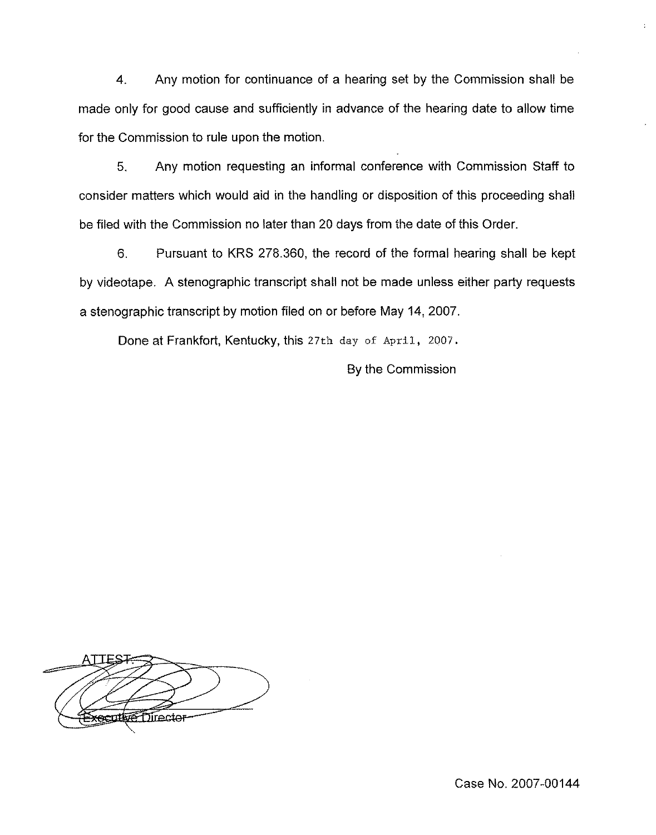4. Any motion for continuance of a hearing set by the Commission shall be made only for good cause and sufficiently in advance of the hearing date to allow time for the Commission to rule upon the motion.

5. Any motion requesting an informal conference with Commission Staff to consider matters which would aid in the handling or disposition of this proceeding shall be filed with the Commission no later than 20 days from the date of this Order.

6. Pursuant to KRS 278.360, the record of the formal hearing shall be kept by videotape. A stenographic transcript shaii not be made unless either party requests a stenographic transcript by motion filed on or before May 14, 2007.

Done at Frankfort, Kentucky, this 27th day of April, 2007.

By the Commission

**VE Director** 

Case No. 2007-00144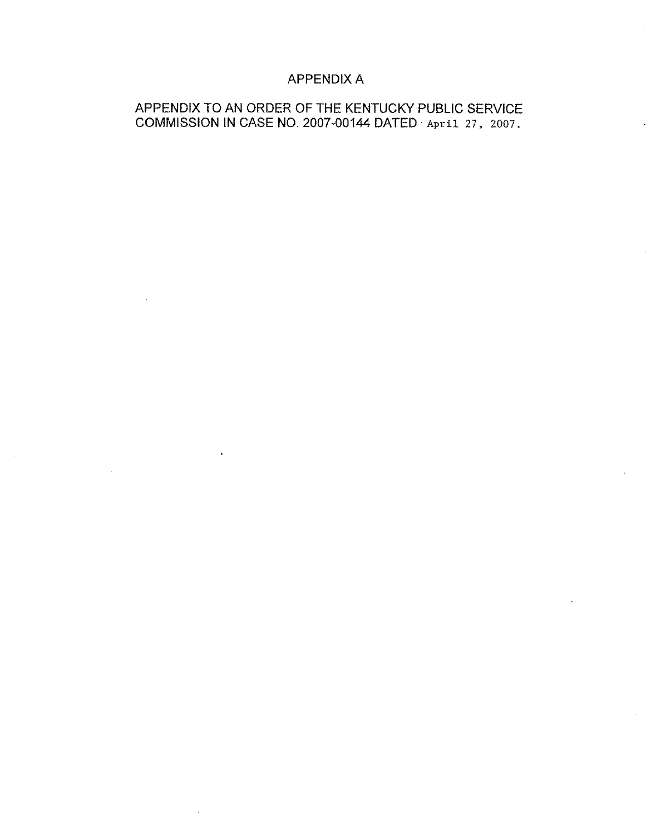## APPENDIX A

## APPENDIX TO AN ORDER OF THE KENTUCKY PUBLIC SERVICE COMMISSION IN CASE NO. 2007-00144 DATED April 27, 2007.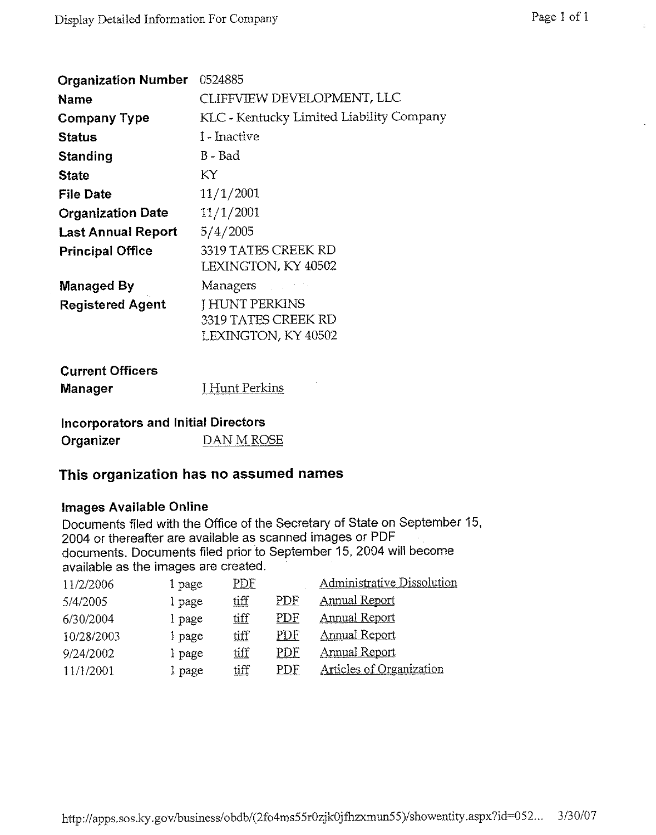| <b>Organization Number</b> | 0524885                                  |
|----------------------------|------------------------------------------|
| <b>Name</b>                | CLIFFVIEW DEVELOPMENT, LLC               |
| <b>Company Type</b>        | KLC - Kentucky Limited Liability Company |
| <b>Status</b>              | I - Inactive                             |
| Standing                   | B - Bad                                  |
| <b>State</b>               | КY                                       |
| <b>File Date</b>           | 11/1/2001                                |
| <b>Organization Date</b>   | 11/1/2001                                |
| <b>Last Annual Report</b>  | 5/4/2005                                 |
| <b>Principal Office</b>    | 3319 TATES CREEK RD                      |
|                            | <b>LEXINGTON, KY 40502</b>               |
| <b>Managed By</b>          | Managers                                 |
| <b>Registered Agent</b>    | <b>I HUNT PERKINS</b>                    |
|                            | 3319 TATES CREEK RD                      |
|                            | LEXINGTON, KY 40502                      |

| <b>Current Officers</b> |                     |
|-------------------------|---------------------|
| Manager                 | <b>Hunt Perkins</b> |

# Incorporators and Initial Directors Organizer DAN M ROSE

# This organization has no assumed names

#### Images Available Online

Documents filed with the Office of the Secretary of State on September 15, 2004 or thereafter are available as scanned images or PDF documents. Documents filed prior to September 15, 2004 will become available as the images are created.

| 11/2/2006  | l page | <u>PDF</u> |     | Administrative Dissolution |
|------------|--------|------------|-----|----------------------------|
| 5/4/2005   | l page | tiff       | PDF | <b>Annual Report</b>       |
| 6/30/2004  | 1 page | uff        | PDF | <b>Annual Report</b>       |
| 10/28/2003 | 1 page | tiff       | PDF | <b>Annual Report</b>       |
| 9/24/2002  | l page | tiff       | PDF | Annual Report              |
| 11/1/2001  | page   | tiff       | PDF | Articles of Organization   |
|            |        |            |     |                            |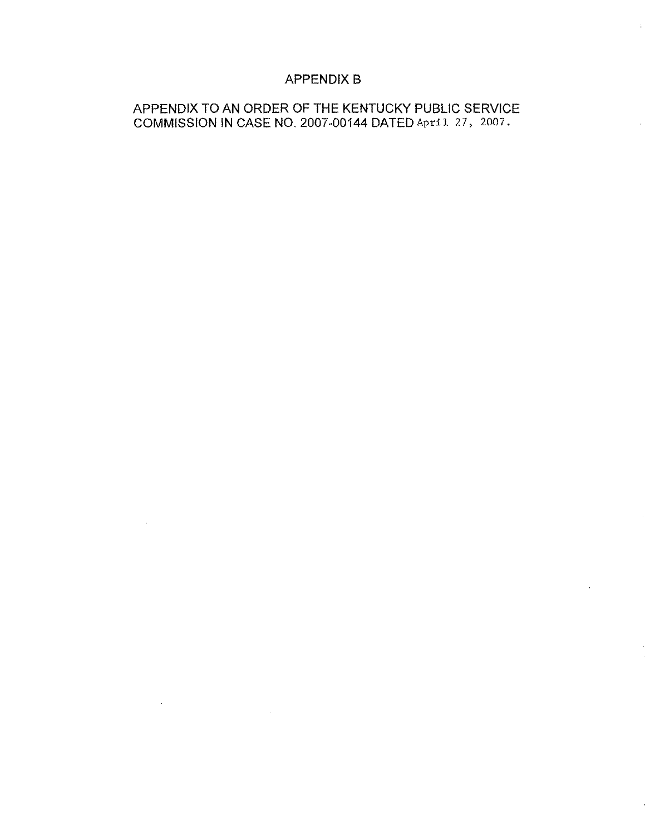## APPENDIX B

## APPENDIX TO AN ORDER OF THE KENTUCKY PUBLIC SERVICE COMMISSION IN CASE NO. 2007-00144 DATED April 27, 2007.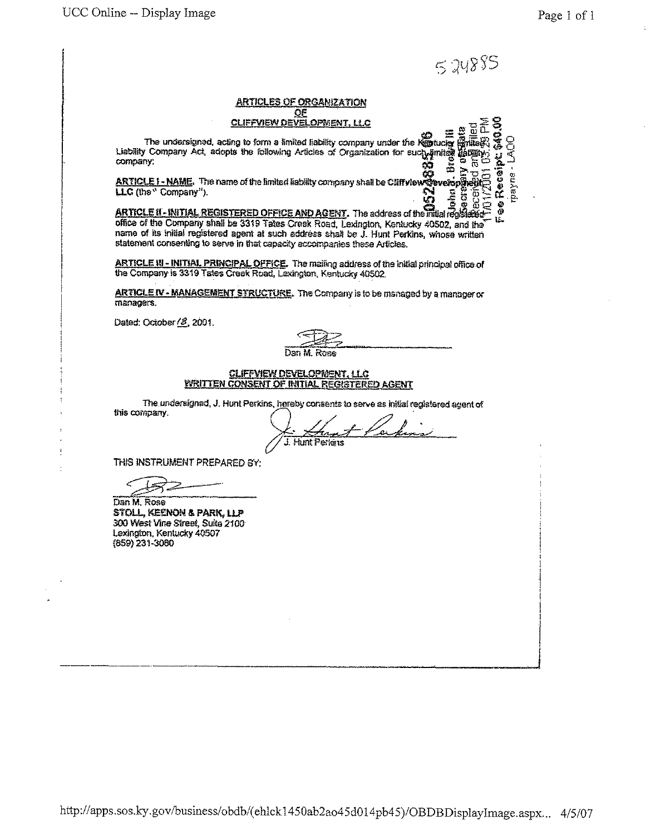$524885$ 

'«o«> 4«e

enyegy

#### ARTICLES OF ORGANIZATION OF <u>CLIFFVIEW DEVELOPMENT, I</u>

The undersigned, acting to form a limited liability company under the Kombucky Article & Great the Kolowing Articles of Organization for such amine and particle in  $\frac{1}{2}$  Chability Company Act, adopts the following Arti  $\frac{1}{2}$   $\frac{1}{2}$   $\frac{1}{2}$   $\frac{1}{2}$   $\frac{1}{2}$   $\frac{1}{2}$   $\frac{1}{2}$   $\frac{1}{2}$   $\frac{1}{2}$   $\frac{1}{2}$   $\frac{1}{2}$   $\frac{1}{2}$   $\frac{1}{2}$   $\frac{1}{2}$   $\frac{1}{2}$   $\frac{1}{2}$   $\frac{1}{2}$   $\frac{1}{2}$   $\frac{1}{2}$   $\frac{1}{2}$   $\frac{1}{2}$   $\frac{1}{2}$  lo CO .

ARTICLE I - NAME. The name of the limited liability company shall be Cliffy lew  $\mathbb{R}$  verses  $\mathbb{R}$ LLC (the "Company").

 $\mathbf{g}$  ,  $\mathbf{s}$  and  $\mathbf{s}$ ARTICLE II - INITIAL REGISTERED OFFICE AND AGENY. The address of the mitial registered office of the Company shall be 3319 Tates Creek Road, Lexington, Kentucky 40502, and the name of its initial registered agent at such address shall be J. Hunt Perkins, whose written statement consenting to serve in that capacity accompanies these Articles,

ARTICLE III - INITIAL PRINCIPAL OFFICE. The mailing address of the initial principal office of the Company is 3319Tates Creek Road, Lexington, Kentucky 40502.

ARTICLE IV - MANAGEMENT STRUCTURE. The Company is to be managed by a manager or managers.

Dated: October / 8, 2001.

#### CLIFFVIEW DEVELOPMENT, LLC WRITTEN CONSENT OF INITIAL REGISTERED AGENT

The undersigned, J. Hunt Perkins, hereby consents to serve as initial registered agent of this company.

**L** Hunt Perkins

THIS INSTPLiMENT PREPARED BY:

Dan M. Rose STOLL, KEENON & PARK, LLP 300 West Vine Sirest, Suits 2100 Lexirgion, Kentucky 40507 (859) 231-3090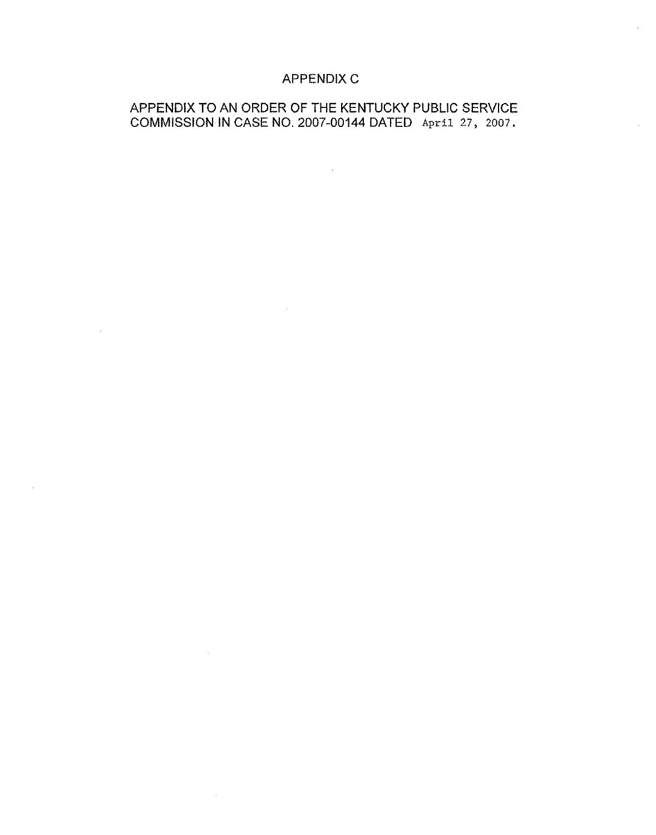## APPENDIX C

## APPENDIX TO AN ORDER OF THE KENTUCKY PUBLIC SERVICE COMMISSION IN CASE NO. 2007-00144 DATED April. 27, 2007.

 $\mathcal{L}_{\text{max}}$  ,  $\mathcal{L}_{\text{max}}$ 

 $\label{eq:2.1} \mathcal{L}(\mathcal{L}^{\mathcal{L}}_{\mathcal{L}}(\mathcal{L}^{\mathcal{L}}_{\mathcal{L}})) = \mathcal{L}(\mathcal{L}^{\mathcal{L}}_{\mathcal{L}}(\mathcal{L}^{\mathcal{L}}_{\mathcal{L}})) = \mathcal{L}(\mathcal{L}^{\mathcal{L}}_{\mathcal{L}}(\mathcal{L}^{\mathcal{L}}_{\mathcal{L}}))$ 

 $\mathcal{L}^{\text{max}}_{\text{max}}$  and  $\mathcal{L}^{\text{max}}_{\text{max}}$ 

 $\sim$ 

 $\mathcal{L}^{\text{max}}_{\text{max}}$  .